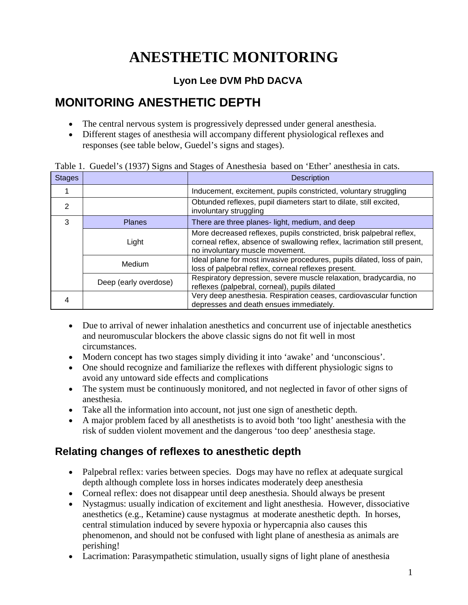# **ANESTHETIC MONITORING**

### **Lyon Lee DVM PhD DACVA**

## **MONITORING ANESTHETIC DEPTH**

- The central nervous system is progressively depressed under general anesthesia.
- Different stages of anesthesia will accompany different physiological reflexes and responses (see table below, Guedel's signs and stages).

| <b>Stages</b> |                       | $\frac{1}{2}$ . Outder $\frac{1}{2}$ (1757) signs and stages of Threshrom sased on Eurof anosinesia in $\epsilon$<br><b>Description</b>                                             |
|---------------|-----------------------|-------------------------------------------------------------------------------------------------------------------------------------------------------------------------------------|
|               |                       | Inducement, excitement, pupils constricted, voluntary struggling                                                                                                                    |
| 2             |                       | Obtunded reflexes, pupil diameters start to dilate, still excited,<br>involuntary struggling                                                                                        |
| 3             | <b>Planes</b>         | There are three planes- light, medium, and deep                                                                                                                                     |
|               | Light                 | More decreased reflexes, pupils constricted, brisk palpebral reflex,<br>corneal reflex, absence of swallowing reflex, lacrimation still present,<br>no involuntary muscle movement. |
|               | Medium                | Ideal plane for most invasive procedures, pupils dilated, loss of pain,<br>loss of palpebral reflex, corneal reflexes present.                                                      |
|               | Deep (early overdose) | Respiratory depression, severe muscle relaxation, bradycardia, no<br>reflexes (palpebral, corneal), pupils dilated                                                                  |
|               |                       | Very deep anesthesia. Respiration ceases, cardiovascular function<br>depresses and death ensues immediately.                                                                        |

Table 1. Guedel's (1937) Signs and Stages of Anesthesia based on 'Ether' anesthesia in cats.

- Due to arrival of newer inhalation anesthetics and concurrent use of injectable anesthetics and neuromuscular blockers the above classic signs do not fit well in most circumstances.
- Modern concept has two stages simply dividing it into 'awake' and 'unconscious'.
- One should recognize and familiarize the reflexes with different physiologic signs to avoid any untoward side effects and complications
- The system must be continuously monitored, and not neglected in favor of other signs of anesthesia.
- Take all the information into account, not just one sign of anesthetic depth.
- A major problem faced by all anesthetists is to avoid both 'too light' anesthesia with the risk of sudden violent movement and the dangerous 'too deep' anesthesia stage.

### **Relating changes of reflexes to anesthetic depth**

- Palpebral reflex: varies between species. Dogs may have no reflex at adequate surgical depth although complete loss in horses indicates moderately deep anesthesia
- Corneal reflex: does not disappear until deep anesthesia. Should always be present
- Nystagmus: usually indication of excitement and light anesthesia. However, dissociative anesthetics (e.g., Ketamine) cause nystagmus at moderate anesthetic depth. In horses, central stimulation induced by severe hypoxia or hypercapnia also causes this phenomenon, and should not be confused with light plane of anesthesia as animals are perishing!
- Lacrimation: Parasympathetic stimulation, usually signs of light plane of anesthesia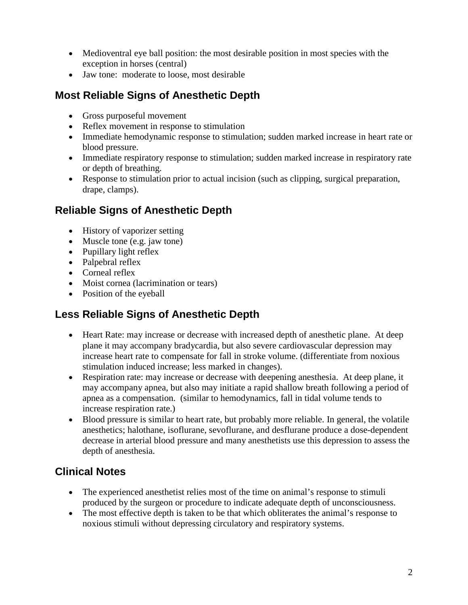- Medioventral eye ball position: the most desirable position in most species with the exception in horses (central)
- Jaw tone: moderate to loose, most desirable

### **Most Reliable Signs of Anesthetic Depth**

- Gross purposeful movement
- Reflex movement in response to stimulation
- Immediate hemodynamic response to stimulation; sudden marked increase in heart rate or blood pressure.
- Immediate respiratory response to stimulation; sudden marked increase in respiratory rate or depth of breathing.
- Response to stimulation prior to actual incision (such as clipping, surgical preparation, drape, clamps).

### **Reliable Signs of Anesthetic Depth**

- History of vaporizer setting
- Muscle tone (e.g. jaw tone)
- Pupillary light reflex
- Palpebral reflex
- Corneal reflex
- Moist cornea (lacrimination or tears)
- Position of the eyeball

### **Less Reliable Signs of Anesthetic Depth**

- Heart Rate: may increase or decrease with increased depth of anesthetic plane. At deep plane it may accompany bradycardia, but also severe cardiovascular depression may increase heart rate to compensate for fall in stroke volume. (differentiate from noxious stimulation induced increase; less marked in changes).
- Respiration rate: may increase or decrease with deepening anesthesia. At deep plane, it may accompany apnea, but also may initiate a rapid shallow breath following a period of apnea as a compensation. (similar to hemodynamics, fall in tidal volume tends to increase respiration rate.)
- Blood pressure is similar to heart rate, but probably more reliable. In general, the volatile anesthetics; halothane, isoflurane, sevoflurane, and desflurane produce a dose-dependent decrease in arterial blood pressure and many anesthetists use this depression to assess the depth of anesthesia.

### **Clinical Notes**

- The experienced anesthetist relies most of the time on animal's response to stimuli produced by the surgeon or procedure to indicate adequate depth of unconsciousness.
- The most effective depth is taken to be that which obliterates the animal's response to noxious stimuli without depressing circulatory and respiratory systems.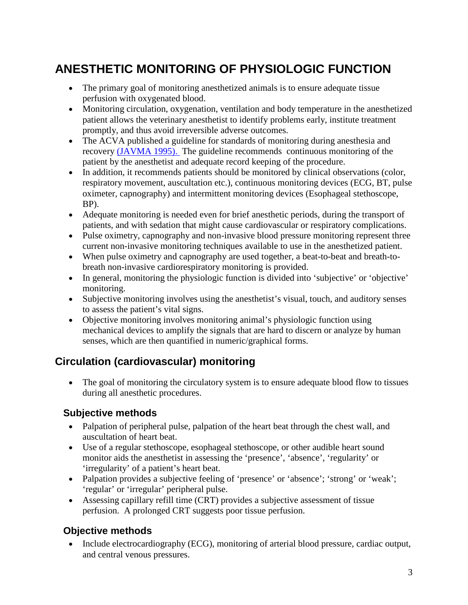## **ANESTHETIC MONITORING OF PHYSIOLOGIC FUNCTION**

- The primary goal of monitoring anesthetized animals is to ensure adequate tissue perfusion with oxygenated blood.
- Monitoring circulation, oxygenation, ventilation and body temperature in the anesthetized patient allows the veterinary anesthetist to identify problems early, institute treatment promptly, and thus avoid irreversible adverse outcomes.
- The ACVA published a guideline for standards of monitoring during anesthesia and recovery [\(JAVMA 1995\).](http://www.acva.org/professional/Position/monitor.htm) The guideline recommends continuous monitoring of the patient by the anesthetist and adequate record keeping of the procedure.
- In addition, it recommends patients should be monitored by clinical observations (color, respiratory movement, auscultation etc.), continuous monitoring devices (ECG, BT, pulse oximeter, capnography) and intermittent monitoring devices (Esophageal stethoscope, BP).
- Adequate monitoring is needed even for brief anesthetic periods, during the transport of patients, and with sedation that might cause cardiovascular or respiratory complications.
- Pulse oximetry, capnography and non-invasive blood pressure monitoring represent three current non-invasive monitoring techniques available to use in the anesthetized patient.
- When pulse oximetry and capnography are used together, a beat-to-beat and breath-tobreath non-invasive cardiorespiratory monitoring is provided.
- In general, monitoring the physiologic function is divided into 'subjective' or 'objective' monitoring.
- Subjective monitoring involves using the anesthetist's visual, touch, and auditory senses to assess the patient's vital signs.
- Objective monitoring involves monitoring animal's physiologic function using mechanical devices to amplify the signals that are hard to discern or analyze by human senses, which are then quantified in numeric/graphical forms.

### **Circulation (cardiovascular) monitoring**

• The goal of monitoring the circulatory system is to ensure adequate blood flow to tissues during all anesthetic procedures.

#### **Subjective methods**

- Palpation of peripheral pulse, palpation of the heart beat through the chest wall, and auscultation of heart beat.
- Use of a regular stethoscope, esophageal stethoscope, or other audible heart sound monitor aids the anesthetist in assessing the 'presence', 'absence', 'regularity' or 'irregularity' of a patient's heart beat.
- Palpation provides a subjective feeling of 'presence' or 'absence'; 'strong' or 'weak'; 'regular' or 'irregular' peripheral pulse.
- Assessing capillary refill time (CRT) provides a subjective assessment of tissue perfusion. A prolonged CRT suggests poor tissue perfusion.

#### **Objective methods**

• Include electrocardiography (ECG), monitoring of arterial blood pressure, cardiac output, and central venous pressures.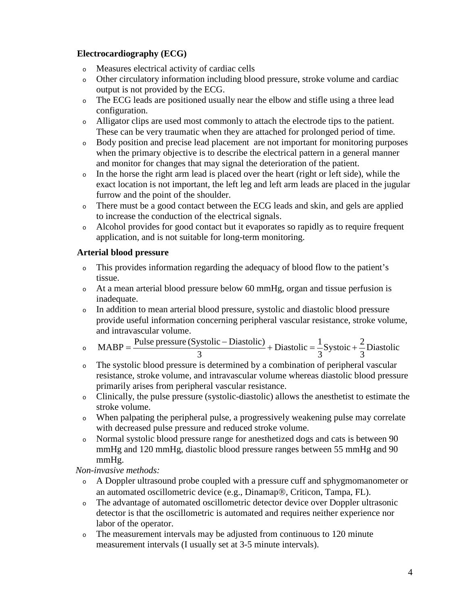#### **Electrocardiography (ECG)**

- <sup>o</sup> Measures electrical activity of cardiac cells
- <sup>o</sup> Other circulatory information including blood pressure, stroke volume and cardiac output is not provided by the ECG.
- <sup>o</sup> The ECG leads are positioned usually near the elbow and stifle using a three lead configuration.
- <sup>o</sup> Alligator clips are used most commonly to attach the electrode tips to the patient. These can be very traumatic when they are attached for prolonged period of time.
- <sup>o</sup> Body position and precise lead placement are not important for monitoring purposes when the primary objective is to describe the electrical pattern in a general manner and monitor for changes that may signal the deterioration of the patient.
- <sup>o</sup> In the horse the right arm lead is placed over the heart (right or left side), while the exact location is not important, the left leg and left arm leads are placed in the jugular furrow and the point of the shoulder.
- <sup>o</sup> There must be a good contact between the ECG leads and skin, and gels are applied to increase the conduction of the electrical signals.
- <sup>o</sup> Alcohol provides for good contact but it evaporates so rapidly as to require frequent application, and is not suitable for long-term monitoring.

#### **Arterial blood pressure**

- <sup>o</sup> This provides information regarding the adequacy of blood flow to the patient's tissue.
- <sup>o</sup> At a mean arterial blood pressure below 60 mmHg, organ and tissue perfusion is inadequate.
- <sup>o</sup> In addition to mean arterial blood pressure, systolic and diastolic blood pressure provide useful information concerning peripheral vascular resistance, stroke volume, and intravascular volume.

• 
$$
MABP = \frac{Pulse pressure (Systolic - Diastolic)}{3} + Diastolic = \frac{1}{3} Systolic + \frac{2}{3} Diastolic
$$

- <sup>o</sup> The systolic blood pressure is determined by a combination of peripheral vascular resistance, stroke volume, and intravascular volume whereas diastolic blood pressure primarily arises from peripheral vascular resistance.
- <sup>o</sup> Clinically, the pulse pressure (systolic-diastolic) allows the anesthetist to estimate the stroke volume.
- <sup>o</sup> When palpating the peripheral pulse, a progressively weakening pulse may correlate with decreased pulse pressure and reduced stroke volume.
- <sup>o</sup> Normal systolic blood pressure range for anesthetized dogs and cats is between 90 mmHg and 120 mmHg, diastolic blood pressure ranges between 55 mmHg and 90 mmHg.

 *Non-invasive methods:* 

- <sup>o</sup> A Doppler ultrasound probe coupled with a pressure cuff and sphygmomanometer or an automated oscillometric device (e.g., Dinamap®, Criticon, Tampa, FL).
- <sup>o</sup> The advantage of automated oscillometric detector device over Doppler ultrasonic detector is that the oscillometric is automated and requires neither experience nor labor of the operator.
- <sup>o</sup> The measurement intervals may be adjusted from continuous to 120 minute measurement intervals (I usually set at 3-5 minute intervals).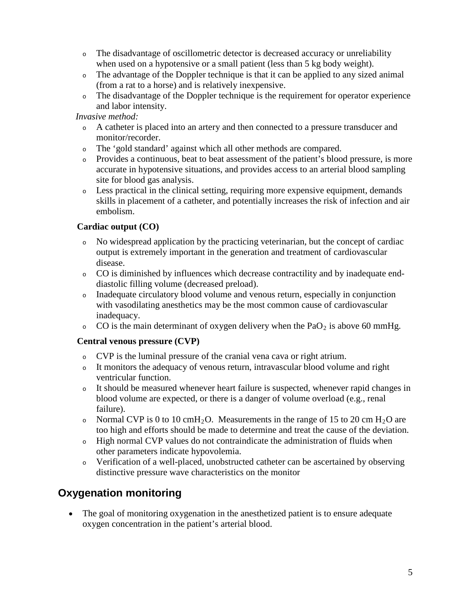- <sup>o</sup> The disadvantage of oscillometric detector is decreased accuracy or unreliability when used on a hypotensive or a small patient (less than 5 kg body weight).
- <sup>o</sup> The advantage of the Doppler technique is that it can be applied to any sized animal (from a rat to a horse) and is relatively inexpensive.
- <sup>o</sup> The disadvantage of the Doppler technique is the requirement for operator experience and labor intensity.

#### *Invasive method:*

- <sup>o</sup> A catheter is placed into an artery and then connected to a pressure transducer and monitor/recorder.
- <sup>o</sup> The 'gold standard' against which all other methods are compared.
- <sup>o</sup> Provides a continuous, beat to beat assessment of the patient's blood pressure, is more accurate in hypotensive situations, and provides access to an arterial blood sampling site for blood gas analysis.
- <sup>o</sup> Less practical in the clinical setting, requiring more expensive equipment, demands skills in placement of a catheter, and potentially increases the risk of infection and air embolism.

#### **Cardiac output (CO)**

- <sup>o</sup> No widespread application by the practicing veterinarian, but the concept of cardiac output is extremely important in the generation and treatment of cardiovascular disease.
- <sup>o</sup> CO is diminished by influences which decrease contractility and by inadequate enddiastolic filling volume (decreased preload).
- <sup>o</sup> Inadequate circulatory blood volume and venous return, especially in conjunction with vasodilating anesthetics may be the most common cause of cardiovascular inadequacy.
- $\circ$  CO is the main determinant of oxygen delivery when the PaO<sub>2</sub> is above 60 mmHg.

#### **Central venous pressure (CVP)**

- <sup>o</sup> CVP is the luminal pressure of the cranial vena cava or right atrium.
- <sup>o</sup> It monitors the adequacy of venous return, intravascular blood volume and right ventricular function.
- <sup>o</sup> It should be measured whenever heart failure is suspected, whenever rapid changes in blood volume are expected, or there is a danger of volume overload (e.g., renal failure).
- Normal CVP is 0 to 10 cmH<sub>2</sub>O. Measurements in the range of 15 to 20 cm H<sub>2</sub>O are too high and efforts should be made to determine and treat the cause of the deviation.
- <sup>o</sup> High normal CVP values do not contraindicate the administration of fluids when other parameters indicate hypovolemia.
- <sup>o</sup> Verification of a well-placed, unobstructed catheter can be ascertained by observing distinctive pressure wave characteristics on the monitor

### **Oxygenation monitoring**

• The goal of monitoring oxygenation in the anesthetized patient is to ensure adequate oxygen concentration in the patient's arterial blood.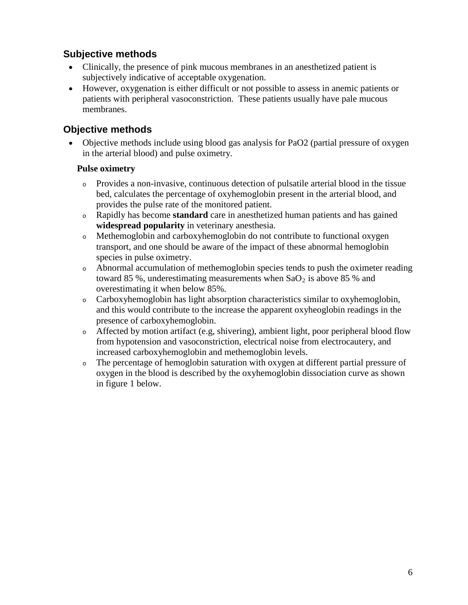#### **Subjective methods**

- Clinically, the presence of pink mucous membranes in an anesthetized patient is subjectively indicative of acceptable oxygenation.
- However, oxygenation is either difficult or not possible to assess in anemic patients or patients with peripheral vasoconstriction. These patients usually have pale mucous membranes.

#### **Objective methods**

• Objective methods include using blood gas analysis for PaO2 (partial pressure of oxygen in the arterial blood) and pulse oximetry.

#### **Pulse oximetry**

- <sup>o</sup> Provides a non-invasive, continuous detection of pulsatile arterial blood in the tissue bed, calculates the percentage of oxyhemoglobin present in the arterial blood, and provides the pulse rate of the monitored patient.
- <sup>o</sup> Rapidly has become **standard** care in anesthetized human patients and has gained **widespread popularity** in veterinary anesthesia.
- <sup>o</sup> Methemoglobin and carboxyhemoglobin do not contribute to functional oxygen transport, and one should be aware of the impact of these abnormal hemoglobin species in pulse oximetry.
- <sup>o</sup> Abnormal accumulation of methemoglobin species tends to push the oximeter reading toward 85 %, underestimating measurements when  $SaO<sub>2</sub>$  is above 85 % and overestimating it when below 85%.
- <sup>o</sup> Carboxyhemoglobin has light absorption characteristics similar to oxyhemoglobin, and this would contribute to the increase the apparent oxyheoglobin readings in the presence of carboxyhemoglobin.
- <sup>o</sup> Affected by motion artifact (e.g, shivering), ambient light, poor peripheral blood flow from hypotension and vasoconstriction, electrical noise from electrocautery, and increased carboxyhemoglobin and methemoglobin levels.
- <sup>o</sup> The percentage of hemoglobin saturation with oxygen at different partial pressure of oxygen in the blood is described by the oxyhemoglobin dissociation curve as shown in figure 1 below.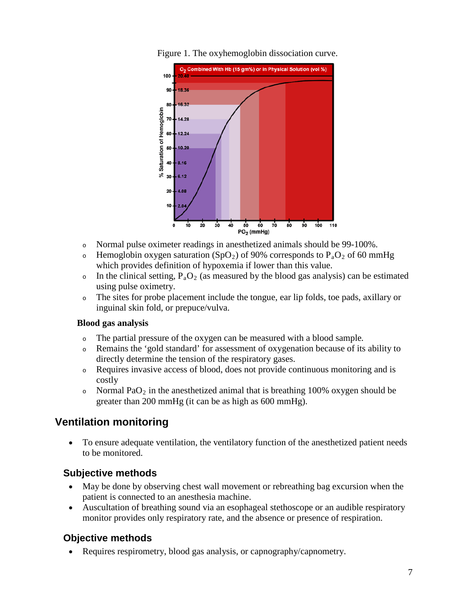

Figure 1. The oxyhemoglobin dissociation curve.

- <sup>o</sup> Normal pulse oximeter readings in anesthetized animals should be 99-100%.
- $\circ$  Hemoglobin oxygen saturation (SpO<sub>2</sub>) of 90% corresponds to P<sub>a</sub>O<sub>2</sub> of 60 mmHg which provides definition of hypoxemia if lower than this value.
- $\circ$  In the clinical setting,  $P_aO_2$  (as measured by the blood gas analysis) can be estimated using pulse oximetry.
- <sup>o</sup> The sites for probe placement include the tongue, ear lip folds, toe pads, axillary or inguinal skin fold, or prepuce/vulva.

#### **Blood gas analysis**

- <sup>o</sup> The partial pressure of the oxygen can be measured with a blood sample*.*
- <sup>o</sup> Remains the 'gold standard' for assessment of oxygenation because of its ability to directly determine the tension of the respiratory gases.
- <sup>o</sup> Requires invasive access of blood, does not provide continuous monitoring and is costly
- Normal PaO<sub>2</sub> in the anesthetized animal that is breathing 100% oxygen should be greater than 200 mmHg (it can be as high as 600 mmHg).

### **Ventilation monitoring**

• To ensure adequate ventilation, the ventilatory function of the anesthetized patient needs to be monitored.

#### **Subjective methods**

- May be done by observing chest wall movement or rebreathing bag excursion when the patient is connected to an anesthesia machine.
- Auscultation of breathing sound via an esophageal stethoscope or an audible respiratory monitor provides only respiratory rate, and the absence or presence of respiration.

#### **Objective methods**

• Requires respirometry, blood gas analysis, or capnography/capnometry.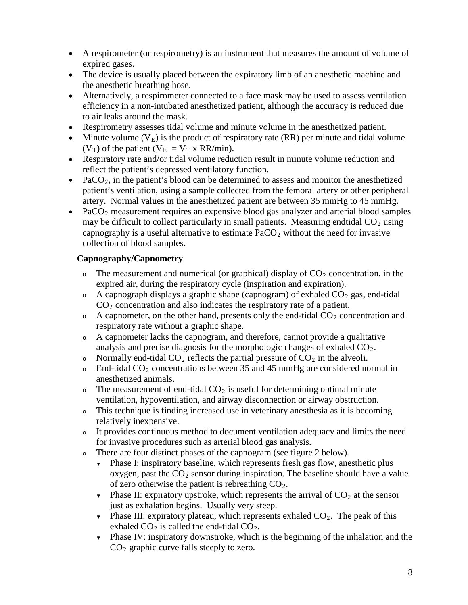- A respirometer (or respirometry) is an instrument that measures the amount of volume of expired gases.
- The device is usually placed between the expiratory limb of an anesthetic machine and the anesthetic breathing hose.
- Alternatively, a respirometer connected to a face mask may be used to assess ventilation efficiency in a non-intubated anesthetized patient, although the accuracy is reduced due to air leaks around the mask.
- Respirometry assesses tidal volume and minute volume in the anesthetized patient.
- Minute volume  $(V_E)$  is the product of respiratory rate (RR) per minute and tidal volume  $(V_T)$  of the patient  $(V_E = V_T x RR/min)$ .
- Respiratory rate and/or tidal volume reduction result in minute volume reduction and reflect the patient's depressed ventilatory function.
- PaCO<sub>2</sub>, in the patient's blood can be determined to assess and monitor the anesthetized patient's ventilation, using a sample collected from the femoral artery or other peripheral artery. Normal values in the anesthetized patient are between 35 mmHg to 45 mmHg.
- PaCO<sub>2</sub> measurement requires an expensive blood gas analyzer and arterial blood samples may be difficult to collect particularly in small patients. Measuring endtidal  $CO<sub>2</sub>$  using capnography is a useful alternative to estimate  $PaCO<sub>2</sub>$  without the need for invasive collection of blood samples.

#### **Capnography/Capnometry**

- $\circ$  The measurement and numerical (or graphical) display of  $CO<sub>2</sub>$  concentration, in the expired air, during the respiratory cycle (inspiration and expiration).
- $\circ$  A capnograph displays a graphic shape (capnogram) of exhaled  $CO_2$  gas, end-tidal  $CO<sub>2</sub>$  concentration and also indicates the respiratory rate of a patient.
- $\circ$  A capnometer, on the other hand, presents only the end-tidal CO<sub>2</sub> concentration and respiratory rate without a graphic shape.
- <sup>o</sup> A capnometer lacks the capnogram, and therefore, cannot provide a qualitative analysis and precise diagnosis for the morphologic changes of exhaled  $CO<sub>2</sub>$ .
- Normally end-tidal  $CO_2$  reflects the partial pressure of  $CO_2$  in the alveoli.
- $\circ$  End-tidal CO<sub>2</sub> concentrations between 35 and 45 mmHg are considered normal in anesthetized animals.
- $\circ$  The measurement of end-tidal CO<sub>2</sub> is useful for determining optimal minute ventilation, hypoventilation, and airway disconnection or airway obstruction.
- <sup>o</sup> This technique is finding increased use in veterinary anesthesia as it is becoming relatively inexpensive.
- <sup>o</sup> It provides continuous method to document ventilation adequacy and limits the need for invasive procedures such as arterial blood gas analysis.
- <sup>o</sup> There are four distinct phases of the capnogram (see figure 2 below).
	- Phase I: inspiratory baseline, which represents fresh gas flow, anesthetic plus oxygen, past the  $CO<sub>2</sub>$  sensor during inspiration. The baseline should have a value of zero otherwise the patient is rebreathing  $CO<sub>2</sub>$ .
	- Phase II: expiratory upstroke, which represents the arrival of  $CO<sub>2</sub>$  at the sensor just as exhalation begins. Usually very steep.
	- Phase III: expiratory plateau, which represents exhaled  $CO<sub>2</sub>$ . The peak of this exhaled  $CO_2$  is called the end-tidal  $CO_2$ .
	- ▼ Phase IV: inspiratory downstroke, which is the beginning of the inhalation and the CO <sup>2</sup> graphic curve falls steeply to zero.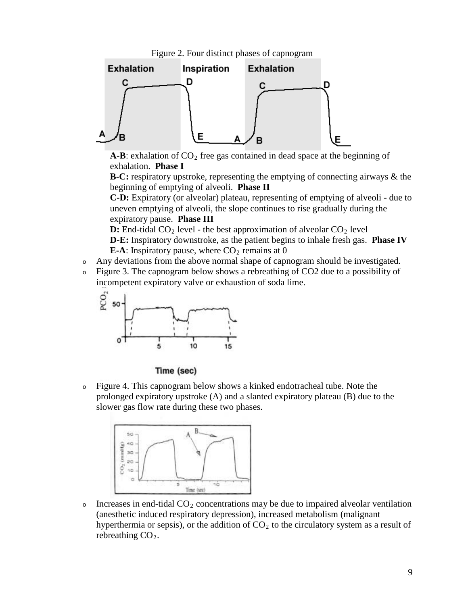



 $A-B$ : exhalation of  $CO<sub>2</sub>$  free gas contained in dead space at the beginning of exhalation. **Phase I**

**B-C:** respiratory upstroke, representing the emptying of connecting airways & the beginning of emptying of alveoli. **Phase II**

**C-D:** Expiratory (or alveolar) plateau, representing of emptying of alveoli - due to uneven emptying of alveoli, the slope continues to rise gradually during the expiratory pause. **Phase III**

**D:** End-tidal  $CO_2$  level - the best approximation of alveolar  $CO_2$  level

**D-E:** Inspiratory downstroke, as the patient begins to inhale fresh gas. **Phase IV E-A**: Inspiratory pause, where  $CO_2$  remains at 0

- <sup>o</sup> Any deviations from the above normal shape of capnogram should be investigated.
- <sup>o</sup> Figure 3. The capnogram below shows a rebreathing of CO2 due to a possibility of incompetent expiratory valve or exhaustion of soda lime.



#### Time (sec)

<sup>o</sup> Figure 4. This capnogram below shows a kinked endotracheal tube. Note the prolonged expiratory upstroke (A) and a slanted expiratory plateau (B) due to the slower gas flow rate during these two phases.



 $\circ$  Increases in end-tidal CO<sub>2</sub> concentrations may be due to impaired alveolar ventilation (anesthetic induced respiratory depression), increased metabolism (malignant hyperthermia or sepsis), or the addition of  $CO<sub>2</sub>$  to the circulatory system as a result of rebreathing  $CO<sub>2</sub>$ .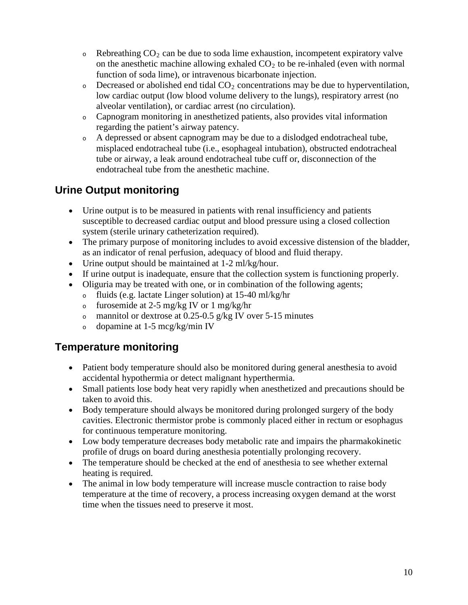- $\circ$  Rebreathing CO<sub>2</sub> can be due to soda lime exhaustion, incompetent expiratory valve on the anesthetic machine allowing exhaled  $CO<sub>2</sub>$  to be re-inhaled (even with normal function of soda lime), or intravenous bicarbonate injection.
- $\circ$  Decreased or abolished end tidal CO<sub>2</sub> concentrations may be due to hyperventilation, low cardiac output (low blood volume delivery to the lungs), respiratory arrest (no alveolar ventilation), or cardiac arrest (no circulation).
- <sup>o</sup> Capnogram monitoring in anesthetized patients, also provides vital information regarding the patient's airway patency.
- <sup>o</sup> A depressed or absent capnogram may be due to a dislodged endotracheal tube, misplaced endotracheal tube (i.e., esophageal intubation), obstructed endotracheal tube or airway, a leak around endotracheal tube cuff or, disconnection of the endotracheal tube from the anesthetic machine.

### **Urine Output monitoring**

- Urine output is to be measured in patients with renal insufficiency and patients susceptible to decreased cardiac output and blood pressure using a closed collection system (sterile urinary catheterization required).
- The primary purpose of monitoring includes to avoid excessive distension of the bladder, as an indicator of renal perfusion, adequacy of blood and fluid therapy.
- Urine output should be maintained at 1-2 ml/kg/hour.
- If urine output is inadequate, ensure that the collection system is functioning properly.
- Oliguria may be treated with one, or in combination of the following agents;
	- <sup>o</sup> fluids (e.g. lactate Linger solution) at 15-40 ml/kg/hr
	- <sup>o</sup> furosemide at 2-5 mg/kg IV or 1 mg/kg/hr
	- <sup>o</sup> mannitol or dextrose at 0.25-0.5 g/kg IV over 5-15 minutes
	- <sup>o</sup> dopamine at 1-5 mcg/kg/min IV

### **Temperature monitoring**

- Patient body temperature should also be monitored during general anesthesia to avoid accidental hypothermia or detect malignant hyperthermia.
- Small patients lose body heat very rapidly when anesthetized and precautions should be taken to avoid this.
- Body temperature should always be monitored during prolonged surgery of the body cavities. Electronic thermistor probe is commonly placed either in rectum or esophagus for continuous temperature monitoring.
- Low body temperature decreases body metabolic rate and impairs the pharmakokinetic profile of drugs on board during anesthesia potentially prolonging recovery.
- The temperature should be checked at the end of anesthesia to see whether external heating is required.
- The animal in low body temperature will increase muscle contraction to raise body temperature at the time of recovery, a process increasing oxygen demand at the worst time when the tissues need to preserve it most.